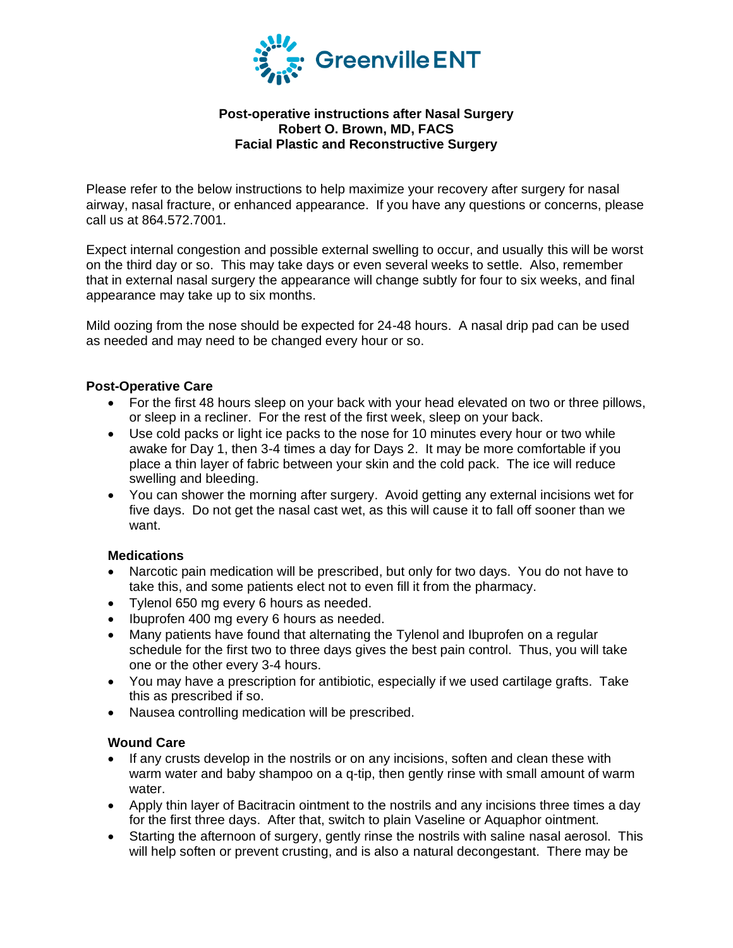

# **Post-operative instructions after Nasal Surgery Robert O. Brown, MD, FACS Facial Plastic and Reconstructive Surgery**

Please refer to the below instructions to help maximize your recovery after surgery for nasal airway, nasal fracture, or enhanced appearance. If you have any questions or concerns, please call us at 864.572.7001.

Expect internal congestion and possible external swelling to occur, and usually this will be worst on the third day or so. This may take days or even several weeks to settle. Also, remember that in external nasal surgery the appearance will change subtly for four to six weeks, and final appearance may take up to six months.

Mild oozing from the nose should be expected for 24-48 hours. A nasal drip pad can be used as needed and may need to be changed every hour or so.

### **Post-Operative Care**

- For the first 48 hours sleep on your back with your head elevated on two or three pillows, or sleep in a recliner. For the rest of the first week, sleep on your back.
- Use cold packs or light ice packs to the nose for 10 minutes every hour or two while awake for Day 1, then 3-4 times a day for Days 2. It may be more comfortable if you place a thin layer of fabric between your skin and the cold pack. The ice will reduce swelling and bleeding.
- You can shower the morning after surgery. Avoid getting any external incisions wet for five days. Do not get the nasal cast wet, as this will cause it to fall off sooner than we want.

#### **Medications**

- Narcotic pain medication will be prescribed, but only for two days. You do not have to take this, and some patients elect not to even fill it from the pharmacy.
- Tylenol 650 mg every 6 hours as needed.
- Ibuprofen 400 mg every 6 hours as needed.
- Many patients have found that alternating the Tylenol and Ibuprofen on a regular schedule for the first two to three days gives the best pain control. Thus, you will take one or the other every 3-4 hours.
- You may have a prescription for antibiotic, especially if we used cartilage grafts. Take this as prescribed if so.
- Nausea controlling medication will be prescribed.

#### **Wound Care**

- If any crusts develop in the nostrils or on any incisions, soften and clean these with warm water and baby shampoo on a q-tip, then gently rinse with small amount of warm water.
- Apply thin layer of Bacitracin ointment to the nostrils and any incisions three times a day for the first three days. After that, switch to plain Vaseline or Aquaphor ointment.
- Starting the afternoon of surgery, gently rinse the nostrils with saline nasal aerosol. This will help soften or prevent crusting, and is also a natural decongestant. There may be